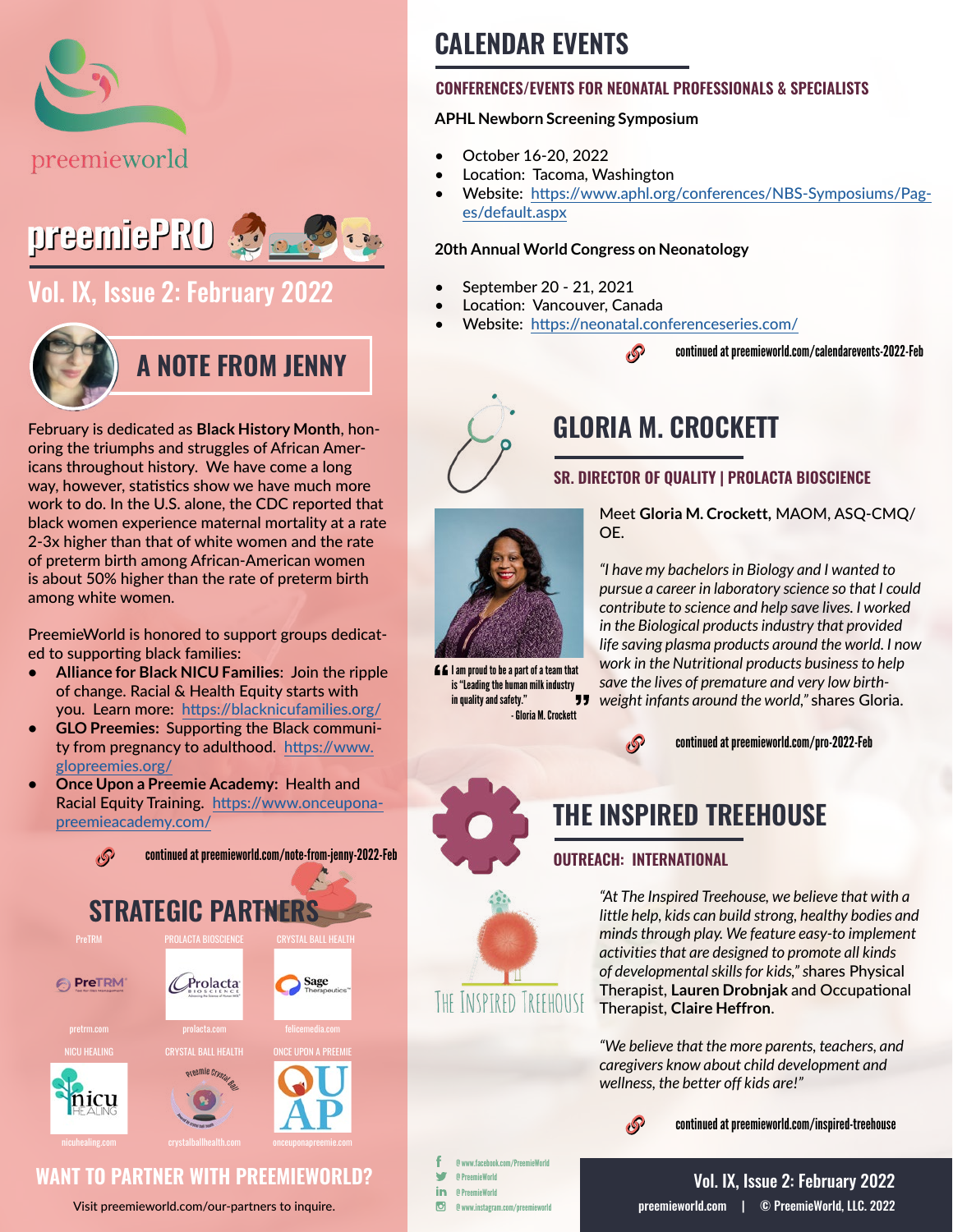



## [Vol. IX, Issue 2: February 2022](https://preemieworld.com/preemie-pro-digital-issues/)



February is dedicated as **Black History Month**, honoring the triumphs and struggles of African Americans throughout history. We have come a long way, however, statistics show we have much more work to do. In the U.S. alone, the CDC reported that black women experience maternal mortality at a rate 2-3x higher than that of white women and the rate of preterm birth among African-American women is about 50% higher than the rate of preterm birth among white women.

PreemieWorld is honored to support groups dedicated to supporting black families:

- **• Alliance for Black NICU Families**: Join the ripple of change. Racial & Health Equity starts with you. Learn more: [https://blacknicufamilies.org/](https://blacknicufamilies.org/ )
- **• GLO Preemies:** Supporting the Black community from pregnancy to adulthood. [https://www.](https://www.glopreemies.org/ ) [glopreemies.org/](https://www.glopreemies.org/ )
- **• Once Upon a Preemie Academy:** Health and Racial Equity Training. [https://www.onceupona](https://www.onceuponapreemieacademy.com/ )[preemieacademy.com/](https://www.onceuponapreemieacademy.com/ )



### **WANT TO PARTNER WITH PREEMIEWORLD?**

Visit [preemieworld.com/our-partners](https://preemieworld.com/our-partners) to inquire.

## **CALENDAR EVENTS**

### **CONFERENCES/EVENTS FOR NEONATAL PROFESSIONALS & SPECIALISTS**

### **APHL Newborn Screening Symposium**

- October 16-20, 2022
- Location: Tacoma, Washington
- Website: [https://www.aphl.org/conferences/NBS-Symposiums/Pag](https://www.aphl.org/conferences/NBS-Symposiums/Pages/default.aspx)[es/default.aspx](https://www.aphl.org/conferences/NBS-Symposiums/Pages/default.aspx)

#### **20th Annual World Congress on Neonatology**

- September 20 21, 2021
- Location: Vancouver, Canada
- Website: https://neonatal.conferenceseries.com/

**P** 

continued at [preemieworld.com/calendarevents-2022-](https://preemieworld.com/calendarevents-2022-Feb)Feb



## **GLORIA M. CROCKETT**

### **SR. DIRECTOR OF QUALITY | PROLACTA BIOSCIENCE**



**EE** I am proud to be a part of a team that is "Leading the human milk industry in quality and safety." - Gloria M. Crockett

Meet **Gloria M. Crockett,** MAOM, ASQ-CMQ/ OE.

*"I have my bachelors in Biology and I wanted to pursue a career in laboratory science so that I could contribute to science and help save lives. I worked in the Biological products industry that provided life saving plasma products around the world. I now work in the Nutritional products business to help save the lives of premature and very low birthweight infants around the world,"* shares Gloria.



continued at [preemieworld.com/pro-2022-](https://preemieworld.com/pro-2022-Feb)Feb



INSPTRED TREEHOUSE

## **THE INSPIRED TREEHOUSE**

### **OUTREACH: INTERNATIONAL**

*"At The Inspired Treehouse, we believe that with a little help, kids can build strong, healthy bodies and minds through play. We feature easy-to implement activities that are designed to promote all kinds of developmental skills for kids," s*hares Physical Therapist, **Lauren Drobnjak** and Occupational Therapist, **Claire Heffron**.

*"We believe that the more parents, teachers, and caregivers know about child development and wellness, the better off kids are!"*



continued at [preemieworld.com/i](https://preemieworld.com/inspired-treehouse)nspired-treehouse

@ www.facebook.com/PreemieWorld w @ PreemieWorld in. @ PreemieWorld  $\overline{G}$ @ www.instagram.com/preemieworld